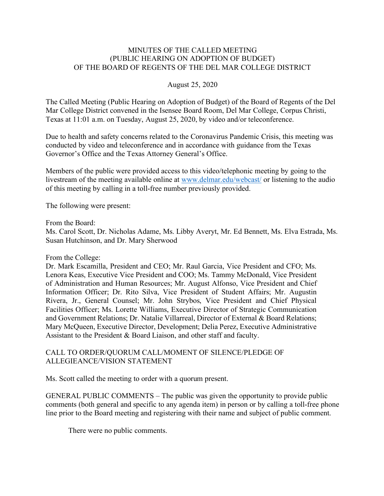### MINUTES OF THE CALLED MEETING (PUBLIC HEARING ON ADOPTION OF BUDGET) OF THE BOARD OF REGENTS OF THE DEL MAR COLLEGE DISTRICT

#### August 25, 2020

The Called Meeting (Public Hearing on Adoption of Budget) of the Board of Regents of the Del Mar College District convened in the Isensee Board Room, Del Mar College, Corpus Christi, Texas at 11:01 a.m. on Tuesday, August 25, 2020, by video and/or teleconference.

Due to health and safety concerns related to the Coronavirus Pandemic Crisis, this meeting was conducted by video and teleconference and in accordance with guidance from the Texas Governor's Office and the Texas Attorney General's Office.

Members of the public were provided access to this video/telephonic meeting by going to the livestream of the meeting available online at www.delmar.edu/webcast/ or listening to the audio of this meeting by calling in a toll-free number previously provided.

The following were present:

From the Board:

Ms. Carol Scott, Dr. Nicholas Adame, Ms. Libby Averyt, Mr. Ed Bennett, Ms. Elva Estrada, Ms. Susan Hutchinson, and Dr. Mary Sherwood

#### From the College:

Dr. Mark Escamilla, President and CEO; Mr. Raul Garcia, Vice President and CFO; Ms. Lenora Keas, Executive Vice President and COO; Ms. Tammy McDonald, Vice President of Administration and Human Resources; Mr. August Alfonso, Vice President and Chief Information Officer; Dr. Rito Silva, Vice President of Student Affairs; Mr. Augustin Rivera, Jr., General Counsel; Mr. John Strybos, Vice President and Chief Physical Facilities Officer; Ms. Lorette Williams, Executive Director of Strategic Communication and Government Relations; Dr. Natalie Villarreal, Director of External & Board Relations; Mary McQueen, Executive Director, Development; Delia Perez, Executive Administrative Assistant to the President & Board Liaison, and other staff and faculty.

# CALL TO ORDER/QUORUM CALL/MOMENT OF SILENCE/PLEDGE OF ALLEGIEANCE/VISION STATEMENT

Ms. Scott called the meeting to order with a quorum present.

GENERAL PUBLIC COMMENTS – The public was given the opportunity to provide public comments (both general and specific to any agenda item) in person or by calling a toll-free phone line prior to the Board meeting and registering with their name and subject of public comment.

There were no public comments.